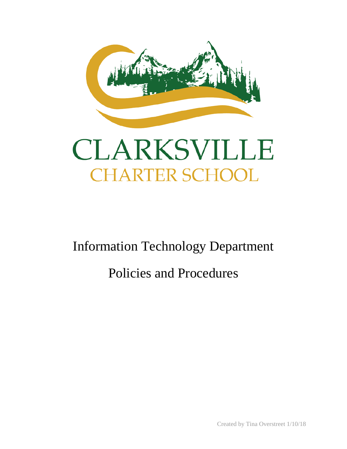

# CLARKSVILLE **CHARTER SCHOOL**

Information Technology Department

# Policies and Procedures

Created by Tina Overstreet 1/10/18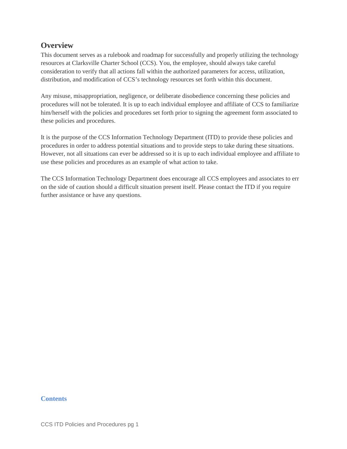# **Overview**

This document serves as a rulebook and roadmap for successfully and properly utilizing the technology resources at Clarksville Charter School (CCS). You, the employee, should always take careful consideration to verify that all actions fall within the authorized parameters for access, utilization, distribution, and modification of CCS's technology resources set forth within this document.

Any misuse, misappropriation, negligence, or deliberate disobedience concerning these policies and procedures will not be tolerated. It is up to each individual employee and affiliate of CCS to familiarize him/herself with the policies and procedures set forth prior to signing the agreement form associated to these policies and procedures.

It is the purpose of the CCS Information Technology Department (ITD) to provide these policies and procedures in order to address potential situations and to provide steps to take during these situations. However, not all situations can ever be addressed so it is up to each individual employee and affiliate to use these policies and procedures as an example of what action to take.

The CCS Information Technology Department does encourage all CCS employees and associates to err on the side of caution should a difficult situation present itself. Please contact the ITD if you require further assistance or have any questions.

#### **Contents**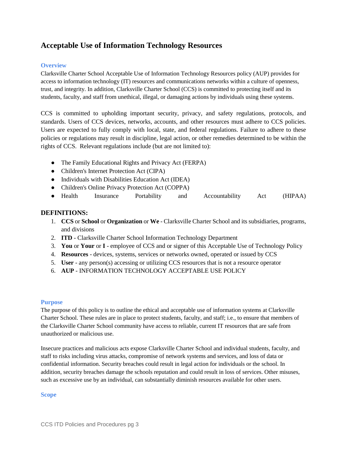# **Acceptable Use of Information Technology Resources**

#### **Overview**

Clarksville Charter School Acceptable Use of Information Technology Resources policy (AUP) provides for access to information technology (IT) resources and communications networks within a culture of openness, trust, and integrity. In addition, Clarksville Charter School (CCS) is committed to protecting itself and its students, faculty, and staff from unethical, illegal, or damaging actions by individuals using these systems.

CCS is committed to upholding important security, privacy, and safety regulations, protocols, and standards. Users of CCS devices, networks, accounts, and other resources must adhere to CCS policies. Users are expected to fully comply with local, state, and federal regulations. Failure to adhere to these policies or regulations may result in discipline, legal action, or other remedies determined to be within the rights of CCS. Relevant regulations include (but are not limited to):

- The Family Educational Rights and Privacy Act (FERPA)
- Children's Internet Protection Act (CIPA)
- Individuals with Disabilities Education Act (IDEA)
- Children's Online Privacy Protection Act (COPPA)
- Health Insurance Portability and Accountability Act (HIPAA)

#### **DEFINITIONS:**

- 1. **CCS** or **School** or **Organization** or **We** Clarksville Charter School and its subsidiaries, programs, and divisions
- 2. **ITD** Clarksville Charter School Information Technology Department
- 3. **You** or **Your** or **I** employee of CCS and or signer of this Acceptable Use of Technology Policy
- 4. **Resources** devices, systems, services or networks owned, operated or issued by CCS
- 5. **User** any person(s) accessing or utilizing CCS resources that is not a resource operator
- 6. **AUP** INFORMATION TECHNOLOGY ACCEPTABLE USE POLICY

#### **Purpose**

The purpose of this policy is to outline the ethical and acceptable use of information systems at Clarksville Charter School. These rules are in place to protect students, faculty, and staff; i.e., to ensure that members of the Clarksville Charter School community have access to reliable, current IT resources that are safe from unauthorized or malicious use.

Insecure practices and malicious acts expose Clarksville Charter School and individual students, faculty, and staff to risks including virus attacks, compromise of network systems and services, and loss of data or confidential information. Security breaches could result in legal action for individuals or the school. In addition, security breaches damage the schools reputation and could result in loss of services. Other misuses, such as excessive use by an individual, can substantially diminish resources available for other users.

#### **Scope**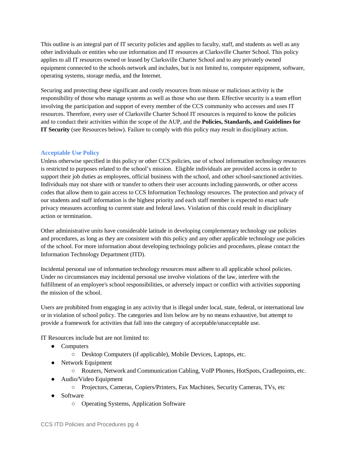This outline is an integral part of IT security policies and applies to faculty, staff, and students as well as any other individuals or entities who use information and IT resources at Clarksville Charter School. This policy applies to all IT resources owned or leased by Clarksville Charter School and to any privately owned equipment connected to the schools network and includes, but is not limited to, computer equipment, software, operating systems, storage media, and the Internet.

Securing and protecting these significant and costly resources from misuse or malicious activity is the responsibility of those who manage systems as well as those who use them. Effective security is a team effort involving the participation and support of every member of the CCS community who accesses and uses IT resources. Therefore, every user of Clarksville Charter School IT resources is required to know the policies and to conduct their activities within the scope of the AUP, and the **Policies, Standards, and Guidelines for IT Security** (see Resources below). Failure to comply with this policy may result in disciplinary action.

#### **Acceptable Use Policy**

Unless otherwise specified in this policy or other CCS policies, use of school information technology resources is restricted to purposes related to the school's mission. Eligible individuals are provided access in order to support their job duties as employees, official business with the school, and other school-sanctioned activities. Individuals may not share with or transfer to others their user accounts including passwords, or other access codes that allow them to gain access to CCS Information Technology resources. The protection and privacy of our students and staff information is the highest priority and each staff member is expected to enact safe privacy measures according to current state and federal laws. Violation of this could result in disciplinary action or termination.

Other administrative units have considerable latitude in developing complementary technology use policies and procedures, as long as they are consistent with this policy and any other applicable technology use policies of the school. For more information about developing technology policies and procedures, please contact the Information Technology Department (ITD).

Incidental personal use of information technology resources must adhere to all applicable school policies. Under no circumstances may incidental personal use involve violations of the law, interfere with the fulfillment of an employee's school responsibilities, or adversely impact or conflict with activities supporting the mission of the school.

Users are prohibited from engaging in any activity that is illegal under local, state, federal, or international law or in violation of school policy. The categories and lists below are by no means exhaustive, but attempt to provide a framework for activities that fall into the category of acceptable/unacceptable use.

IT Resources include but are not limited to:

- Computers
	- Desktop Computers (if applicable), Mobile Devices, Laptops, etc.
- Network Equipment
	- Routers, Network and Communication Cabling, VoIP Phones, HotSpots, Cradlepoints, etc.
- Audio/Video Equipment
	- Projectors, Cameras, Copiers/Printers, Fax Machines, Security Cameras, TVs, etc
- Software
	- Operating Systems, Application Software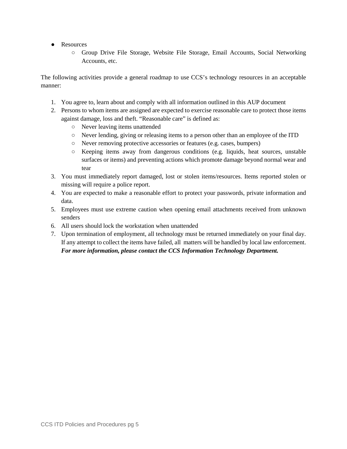- Resources
	- Group Drive File Storage, Website File Storage, Email Accounts, Social Networking Accounts, etc.

The following activities provide a general roadmap to use CCS's technology resources in an acceptable manner:

- 1. You agree to, learn about and comply with all information outlined in this AUP document
- 2. Persons to whom items are assigned are expected to exercise reasonable care to protect those items against damage, loss and theft. "Reasonable care" is defined as:
	- Never leaving items unattended
	- Never lending, giving or releasing items to a person other than an employee of the ITD
	- Never removing protective accessories or features (e.g. cases, bumpers)
	- Keeping items away from dangerous conditions (e.g. liquids, heat sources, unstable surfaces or items) and preventing actions which promote damage beyond normal wear and tear
- 3. You must immediately report damaged, lost or stolen items/resources. Items reported stolen or missing will require a police report.
- 4. You are expected to make a reasonable effort to protect your passwords, private information and data.
- 5. Employees must use extreme caution when opening email attachments received from unknown senders
- 6. All users should lock the workstation when unattended
- 7. Upon termination of employment, all technology must be returned immediately on your final day. If any attempt to collect the items have failed, all matters will be handled by local law enforcement. *For more information, please contact the CCS Information Technology Department.*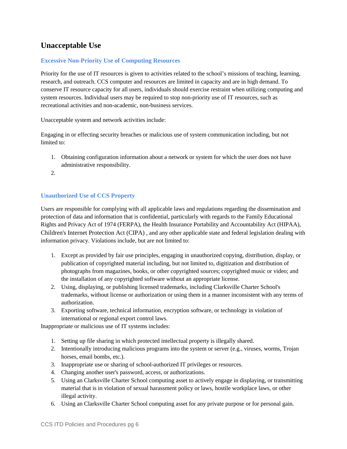# **Unacceptable Use**

#### **Excessive Non-Priority Use of Computing Resources**

Priority for the use of IT resources is given to activities related to the school's missions of teaching, learning, research, and outreach. CCS computer and resources are limited in capacity and are in high demand. To conserve IT resource capacity for all users, individuals should exercise restraint when utilizing computing and system resources. Individual users may be required to stop non-priority use of IT resources, such as recreational activities and non-academic, non-business services.

Unacceptable system and network activities include:

Engaging in or effecting security breaches or malicious use of system communication including, but not limited to:

- 1. Obtaining configuration information about a network or system for which the user does not have administrative responsibility.
- 2.

#### **Unauthorized Use of CCS Property**

Users are responsible for complying with all applicable laws and regulations regarding the dissemination and protection of data and information that is confidential, particularly with regards to the Family Educational Rights and Privacy Act of 1974 (FERPA), the Health Insurance Portability and Accountability Act (HIPAA), Children's Internet Protection Act (CIPA) , and any other applicable state and federal legislation dealing with information privacy. Violations include, but are not limited to:

- 1. Except as provided by fair use principles, engaging in unauthorized copying, distribution, display, or publication of copyrighted material including, but not limited to, digitization and distribution of photographs from magazines, books, or other copyrighted sources; copyrighted music or video; and the installation of any copyrighted software without an appropriate license.
- 2. Using, displaying, or publishing licensed trademarks, including Clarksville Charter School's trademarks, without license or authorization or using them in a manner inconsistent with any terms of authorization.
- 3. Exporting software, technical information, encryption software, or technology in violation of international or regional export control laws.

Inappropriate or malicious use of IT systems includes:

- 1. Setting up file sharing in which protected intellectual property is illegally shared.
- 2. Intentionally introducing malicious programs into the system or server (e.g., viruses, worms, Trojan horses, email bombs, etc.).
- 3. Inappropriate use or sharing of school-authorized IT privileges or resources.
- 4. Changing another user's password, access, or authorizations.
- 5. Using an Clarksville Charter School computing asset to actively engage in displaying, or transmitting material that is in violation of sexual harassment policy or laws, hostile workplace laws, or other illegal activity.
- 6. Using an Clarksville Charter School computing asset for any private purpose or for personal gain.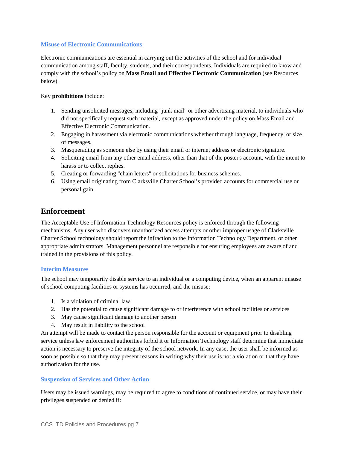#### **Misuse of Electronic Communications**

Electronic communications are essential in carrying out the activities of the school and for individual communication among staff, faculty, students, and their correspondents. Individuals are required to know and comply with the school's policy on **Mass Email and Effective Electronic Communication** (see Resources below).

#### Key **prohibitions** include:

- 1. Sending unsolicited messages, including "junk mail" or other advertising material, to individuals who did not specifically request such material, except as approved under the policy on Mass Email and Effective Electronic Communication.
- 2. Engaging in harassment via electronic communications whether through language, frequency, or size of messages.
- 3. Masquerading as someone else by using their email or internet address or electronic signature.
- 4. Soliciting email from any other email address, other than that of the poster's account, with the intent to harass or to collect replies.
- 5. Creating or forwarding "chain letters" or solicitations for business schemes.
- 6. Using email originating from Clarksville Charter School's provided accounts for commercial use or personal gain.

## **Enforcement**

The Acceptable Use of Information Technology Resources policy is enforced through the following mechanisms. Any user who discovers unauthorized access attempts or other improper usage of Clarksville Charter School technology should report the infraction to the Information Technology Department, or other appropriate administrators. Management personnel are responsible for ensuring employees are aware of and trained in the provisions of this policy.

#### **Interim Measures**

The school may temporarily disable service to an individual or a computing device, when an apparent misuse of school computing facilities or systems has occurred, and the misuse:

- 1. Is a violation of criminal law
- 2. Has the potential to cause significant damage to or interference with school facilities or services
- 3. May cause significant damage to another person
- 4. May result in liability to the school

An attempt will be made to contact the person responsible for the account or equipment prior to disabling service unless law enforcement authorities forbid it or Information Technology staff determine that immediate action is necessary to preserve the integrity of the school network. In any case, the user shall be informed as soon as possible so that they may present reasons in writing why their use is not a violation or that they have authorization for the use.

#### **Suspension of Services and Other Action**

Users may be issued warnings, may be required to agree to conditions of continued service, or may have their privileges suspended or denied if: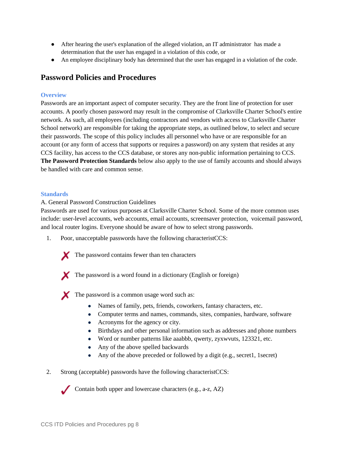- After hearing the user's explanation of the alleged violation, an IT administrator has made a determination that the user has engaged in a violation of this code, or
- An employee disciplinary body has determined that the user has engaged in a violation of the code.

# **Password Policies and Procedures**

#### **Overview**

Passwords are an important aspect of computer security. They are the front line of protection for user accounts. A poorly chosen password may result in the compromise of Clarksville Charter School's entire network. As such, all employees (including contractors and vendors with access to Clarksville Charter School network) are responsible for taking the appropriate steps, as outlined below, to select and secure their passwords. The scope of this policy includes all personnel who have or are responsible for an account (or any form of access that supports or requires a password) on any system that resides at any CCS facility, has access to the CCS database, or stores any non-public information pertaining to CCS. **The Password Protection Standards** below also apply to the use of family accounts and should always be handled with care and common sense.

#### **Standards**

A. General Password Construction Guidelines

Passwords are used for various purposes at Clarksville Charter School. Some of the more common uses include: user-level accounts, web accounts, email accounts, screensaver protection, voicemail password, and local router logins. Everyone should be aware of how to select strong passwords.

1. Poor, unacceptable passwords have the following characteristCCS:



The password contains fewer than ten characters

The password is a word found in a dictionary (English or foreign)

The password is a common usage word such as:

- Names of family, pets, friends, coworkers, fantasy characters, etc.
- Computer terms and names, commands, sites, companies, hardware, software
- Acronyms for the agency or city.
- Birthdays and other personal information such as addresses and phone numbers
- Word or number patterns like aaabbb, qwerty, zyxwvuts, 123321, etc.
- Any of the above spelled backwards
- Any of the above preceded or followed by a digit (e.g., secret1, 1 secret)

2. Strong (acceptable) passwords have the following characteristCCS:

Contain both upper and lowercase characters (e.g., a-z, AZ)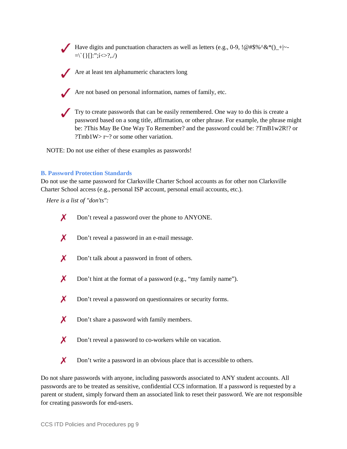Have digits and punctuation characters as well as letters (e.g., 0-9,  $\lceil \omega \# \$\% \wedge \&*(\cdot)\ \rceil$  - $=\frown$ {}[]:";í $\Leftrightarrow$ ?,./)

Are at least ten alphanumeric characters long

Are not based on personal information, names of family, etc.

Try to create passwords that can be easily remembered. One way to do this is create a password based on a song title, affirmation, or other phrase. For example, the phrase might be: ?This May Be One Way To Remember? and the password could be: ?TmB1w2R!? or ?Tmb1W >  $r \sim$ ? or some other variation.

NOTE: Do not use either of these examples as passwords!

#### **B. Password Protection Standards**

Do not use the same password for Clarksville Charter School accounts as for other non Clarksville Charter School access (e.g., personal ISP account, personal email accounts, etc.).

*Here is a list of "don'ts":*

- X Don't reveal a password over the phone to ANYONE. X Don't reveal a password in an e-mail message. X Don't talk about a password in front of others.  $\boldsymbol{X}$  Don't hint at the format of a password (e.g., "my family name"). X Don't reveal a password on questionnaires or security forms.
	- $\boldsymbol{X}$  Don't share a password with family members.
	- X Don't reveal a password to co-workers while on vacation.
- X Don't write a password in an obvious place that is accessible to others.

Do not share passwords with anyone, including passwords associated to ANY student accounts. All passwords are to be treated as sensitive, confidential CCS information. If a password is requested by a parent or student, simply forward them an associated link to reset their password. We are not responsible for creating passwords for end-users.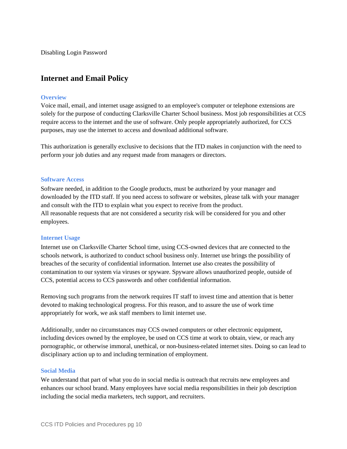Disabling Login Password

## **Internet and Email Policy**

#### **Overview**

Voice mail, email, and internet usage assigned to an employee's computer or telephone extensions are solely for the purpose of conducting Clarksville Charter School business. Most job responsibilities at CCS require access to the internet and the use of software. Only people appropriately authorized, for CCS purposes, may use the internet to access and download additional software.

This authorization is generally exclusive to decisions that the ITD makes in conjunction with the need to perform your job duties and any request made from managers or directors.

#### **Software Access**

Software needed, in addition to the Google products, must be authorized by your manager and downloaded by the ITD staff. If you need access to software or websites, please talk with your manager and consult with the ITD to explain what you expect to receive from the product. All reasonable requests that are not considered a security risk will be considered for you and other employees.

#### **Internet Usage**

Internet use on Clarksville Charter School time, using CCS-owned devices that are connected to the schools network, is authorized to conduct school business only. Internet use brings the possibility of breaches of the security of confidential information. Internet use also creates the possibility of contamination to our system via viruses or spyware. Spyware allows unauthorized people, outside of CCS, potential access to CCS passwords and other confidential information.

Removing such programs from the network requires IT staff to invest time and attention that is better devoted to making technological progress. For this reason, and to assure the use of work time appropriately for work, we ask staff members to limit internet use.

Additionally, under no circumstances may CCS owned computers or other electronic equipment, including devices owned by the employee, be used on CCS time at work to obtain, view, or reach any pornographic, or otherwise immoral, unethical, or non-business-related internet sites. Doing so can lead to disciplinary action up to and including termination of employment.

#### **Social Media**

We understand that part of what you do in social media is outreach that recruits new employees and enhances our school brand. Many employees have social media responsibilities in their job description including the social media marketers, tech support, and recruiters.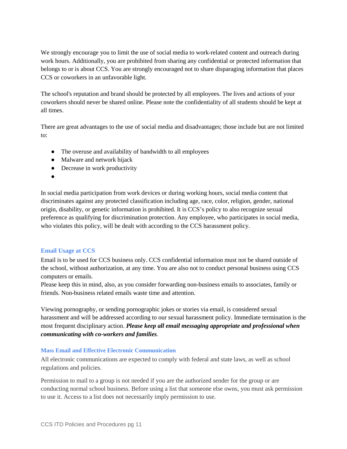We strongly encourage you to limit the use of social media to work-related content and outreach during work hours. Additionally, you are prohibited from sharing any confidential or protected information that belongs to or is about CCS. You are strongly encouraged not to share disparaging information that places CCS or coworkers in an unfavorable light.

The school's reputation and brand should be protected by all employees. The lives and actions of your coworkers should never be shared online. Please note the confidentiality of all students should be kept at all times.

There are great advantages to the use of social media and disadvantages; those include but are not limited to:

- The overuse and availability of bandwidth to all employees
- Malware and network hijack
- Decrease in work productivity
- ●

In social media participation from work devices or during working hours, social media content that discriminates against any protected classification including age, race, color, religion, gender, national origin, disability, or genetic information is prohibited. It is CCS's policy to also recognize sexual preference as qualifying for discrimination protection. Any employee, who participates in social media, who violates this policy, will be dealt with according to the CCS harassment policy.

#### **Email Usage at CCS**

Email is to be used for CCS business only. CCS confidential information must not be shared outside of the school, without authorization, at any time. You are also not to conduct personal business using CCS computers or emails.

Please keep this in mind, also, as you consider forwarding non-business emails to associates, family or friends. Non-business related emails waste time and attention.

Viewing pornography, or sending pornographic jokes or stories via email, is considered sexual harassment and will be addressed according to our sexual harassment policy. Immediate termination is the most frequent disciplinary action. *Please keep all email messaging appropriate and professional when communicating with co-workers and families*.

#### **Mass Email and Effective Electronic Communication**

All electronic communications are expected to comply with federal and state laws, as well as school regulations and policies.

Permission to mail to a group is not needed if you are the authorized sender for the group or are conducting normal school business. Before using a list that someone else owns, you must ask permission to use it. Access to a list does not necessarily imply permission to use.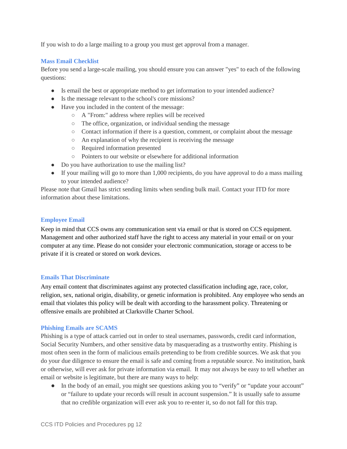If you wish to do a large mailing to a group you must get approval from a manager.

#### **Mass Email Checklist**

Before you send a large-scale mailing, you should ensure you can answer "yes" to each of the following questions:

- Is email the best or appropriate method to get information to your intended audience?
- Is the message relevant to the school's core missions?
- Have you included in the content of the message:
	- A "From:" address where replies will be received
	- The office, organization, or individual sending the message
	- Contact information if there is a question, comment, or complaint about the message
	- An explanation of why the recipient is receiving the message
	- Required information presented
	- Pointers to our website or elsewhere for additional information
- Do you have authorization to use the mailing list?
- If your mailing will go to more than 1,000 recipients, do you have approval to do a mass mailing to your intended audience?

Please note that Gmail has strict sending limits when sending bulk mail. Contact your ITD for more information about these limitations.

#### **Employee Email**

Keep in mind that CCS owns any communication sent via email or that is stored on CCS equipment. Management and other authorized staff have the right to access any material in your email or on your computer at any time. Please do not consider your electronic communication, storage or access to be private if it is created or stored on work devices.

#### **Emails That Discriminate**

Any email content that discriminates against any protected classification including age, race, color, religion, sex, national origin, disability, or genetic information is prohibited. Any employee who sends an email that violates this policy will be dealt with according to the harassment policy. Threatening or offensive emails are prohibited at Clarksville Charter School.

#### **Phishing Emails are SCAMS**

Phishing is a type of attack carried out in order to steal usernames, passwords, credit card information, Social Security Numbers, and other sensitive data by masquerading as a trustworthy entity. Phishing is most often seen in the form of malicious emails pretending to be from credible sources. We ask that you do your due diligence to ensure the email is safe and coming from a reputable source. No institution, bank or otherwise, will ever ask for private information via email. It may not always be easy to tell whether an email or website is legitimate, but there are many ways to help:

• In the body of an email, you might see questions asking you to "verify" or "update your account" or "failure to update your records will result in account suspension." It is usually safe to assume that no credible organization will ever ask you to re-enter it, so do not fall for this trap.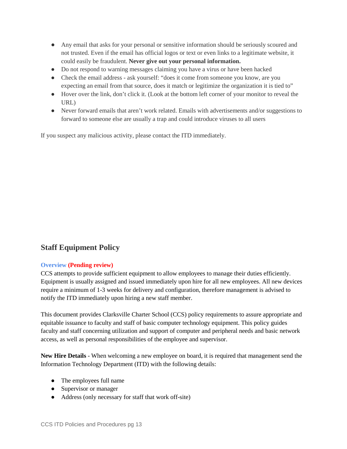- Any email that asks for your personal or sensitive information should be seriously scoured and not trusted. Even if the email has official logos or text or even links to a legitimate website, it could easily be fraudulent. **Never give out your personal information.**
- Do not respond to warning messages claiming you have a virus or have been hacked
- Check the email address ask yourself: "does it come from someone you know, are you expecting an email from that source, does it match or legitimize the organization it is tied to"
- Hover over the link, don't click it. (Look at the bottom left corner of your monitor to reveal the URL)
- Never forward emails that aren't work related. Emails with advertisements and/or suggestions to forward to someone else are usually a trap and could introduce viruses to all users

If you suspect any malicious activity, please contact the ITD immediately.

# **Staff Equipment Policy**

#### **Overview (Pending review)**

CCS attempts to provide sufficient equipment to allow employees to manage their duties efficiently. Equipment is usually assigned and issued immediately upon hire for all new employees. All new devices require a minimum of 1-3 weeks for delivery and configuration, therefore management is advised to notify the ITD immediately upon hiring a new staff member.

This document provides Clarksville Charter School (CCS) policy requirements to assure appropriate and equitable issuance to faculty and staff of basic computer technology equipment. This policy guides faculty and staff concerning utilization and support of computer and peripheral needs and basic network access, as well as personal responsibilities of the employee and supervisor.

**New Hire Details** - When welcoming a new employee on board, it is required that management send the Information Technology Department (ITD) with the following details:

- The employees full name
- Supervisor or manager
- Address (only necessary for staff that work off-site)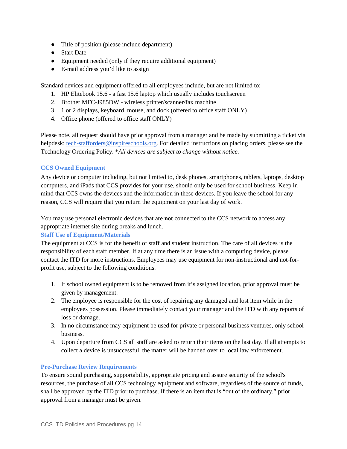- Title of position (please include department)
- Start Date
- Equipment needed (only if they require additional equipment)
- E-mail address you'd like to assign

Standard devices and equipment offered to all employees include, but are not limited to:

- 1. HP Elitebook 15.6 a fast 15.6 laptop which usually includes touchscreen
- 2. Brother MFC-J985DW wireless printer/scanner/fax machine
- 3. 1 or 2 displays, keyboard, mouse, and dock (offered to office staff ONLY)
- 4. Office phone (offered to office staff ONLY)

Please note, all request should have prior approval from a manager and be made by submitting a ticket via helpdesk: [tech-stafforders@inspireschools.org.](mailto:tech-help@inspireschools.org) For detailed instructions on placing orders, please see the Technology Ordering Policy. \**All devices are subject to change without notice.*

#### **CCS Owned Equipment**

Any device or computer including, but not limited to, desk phones, smartphones, tablets, laptops, desktop computers, and iPads that CCS provides for your use, should only be used for school business. Keep in mind that CCS owns the devices and the information in these devices. If you leave the school for any reason, CCS will require that you return the equipment on your last day of work.

You may use personal electronic devices that are **not** connected to the CCS network to access any appropriate internet site during breaks and lunch.

#### **Staff Use of Equipment/Materials**

The equipment at CCS is for the benefit of staff and student instruction. The care of all devices is the responsibility of each staff member. If at any time there is an issue with a computing device, please contact the ITD for more instructions. Employees may use equipment for non-instructional and not-forprofit use, subject to the following conditions:

- 1. If school owned equipment is to be removed from it's assigned location, prior approval must be given by management.
- 2. The employee is responsible for the cost of repairing any damaged and lost item while in the employees possession. Please immediately contact your manager and the ITD with any reports of loss or damage.
- 3. In no circumstance may equipment be used for private or personal business ventures, only school business.
- 4. Upon departure from CCS all staff are asked to return their items on the last day. If all attempts to collect a device is unsuccessful, the matter will be handed over to local law enforcement.

#### **Pre-Purchase Review Requirements**

To ensure sound purchasing, supportability, appropriate pricing and assure security of the school's resources, the purchase of all CCS technology equipment and software, regardless of the source of funds, shall be approved by the ITD prior to purchase. If there is an item that is "out of the ordinary," prior approval from a manager must be given.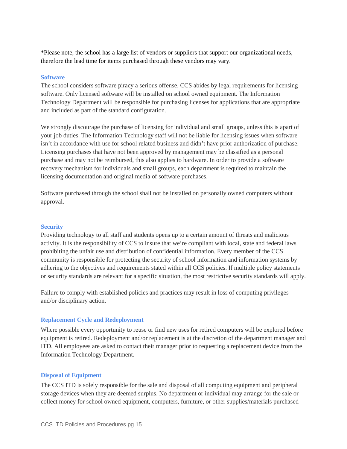\*Please note, the school has a large list of vendors or suppliers that support our organizational needs, therefore the lead time for items purchased through these vendors may vary.

#### **Software**

The school considers software piracy a serious offense. CCS abides by legal requirements for licensing software. Only licensed software will be installed on school owned equipment. The Information Technology Department will be responsible for purchasing licenses for applications that are appropriate and included as part of the standard configuration.

We strongly discourage the purchase of licensing for individual and small groups, unless this is apart of your job duties. The Information Technology staff will not be liable for licensing issues when software isn't in accordance with use for school related business and didn't have prior authorization of purchase. Licensing purchases that have not been approved by management may be classified as a personal purchase and may not be reimbursed, this also applies to hardware. In order to provide a software recovery mechanism for individuals and small groups, each department is required to maintain the licensing documentation and original media of software purchases.

Software purchased through the school shall not be installed on personally owned computers without approval.

#### **Security**

Providing technology to all staff and students opens up to a certain amount of threats and malicious activity. It is the responsibility of CCS to insure that we're compliant with local, state and federal laws prohibiting the unfair use and distribution of confidential information. Every member of the CCS community is responsible for protecting the security of school information and information systems by adhering to the objectives and requirements stated within all CCS policies. If multiple policy statements or security standards are relevant for a specific situation, the most restrictive security standards will apply.

Failure to comply with established policies and practices may result in loss of computing privileges and/or disciplinary action.

#### **Replacement Cycle and Redeployment**

Where possible every opportunity to reuse or find new uses for retired computers will be explored before equipment is retired. Redeployment and/or replacement is at the discretion of the department manager and ITD. All employees are asked to contact their manager prior to requesting a replacement device from the Information Technology Department.

#### **Disposal of Equipment**

The CCS ITD is solely responsible for the sale and disposal of all computing equipment and peripheral storage devices when they are deemed surplus. No department or individual may arrange for the sale or collect money for school owned equipment, computers, furniture, or other supplies/materials purchased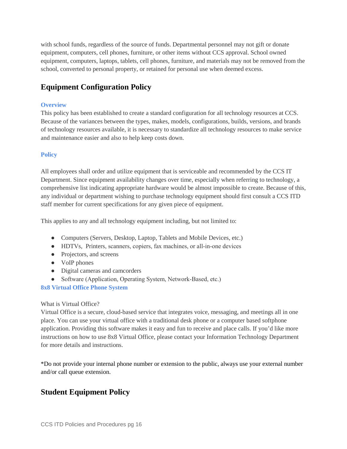with school funds, regardless of the source of funds. Departmental personnel may not gift or donate equipment, computers, cell phones, furniture, or other items without CCS approval. School owned equipment, computers, laptops, tablets, cell phones, furniture, and materials may not be removed from the school, converted to personal property, or retained for personal use when deemed excess.

# **Equipment Configuration Policy**

#### **Overview**

This policy has been established to create a standard configuration for all technology resources at CCS. Because of the variances between the types, makes, models, configurations, builds, versions, and brands of technology resources available, it is necessary to standardize all technology resources to make service and maintenance easier and also to help keep costs down.

#### **Policy**

All employees shall order and utilize equipment that is serviceable and recommended by the CCS IT Department. Since equipment availability changes over time, especially when referring to technology, a comprehensive list indicating appropriate hardware would be almost impossible to create. Because of this, any individual or department wishing to purchase technology equipment should first consult a CCS ITD staff member for current specifications for any given piece of equipment.

This applies to any and all technology equipment including, but not limited to:

- Computers (Servers, Desktop, Laptop, Tablets and Mobile Devices, etc.)
- HDTVs, Printers, scanners, copiers, fax machines, or all-in-one devices
- Projectors, and screens
- VoIP phones
- Digital cameras and camcorders
- Software (Application, Operating System, Network-Based, etc.)

#### **8x8 Virtual Office Phone System**

#### What is Virtual Office?

Virtual Office is a secure, cloud-based service that integrates voice, messaging, and meetings all in one place. You can use your virtual office with a traditional desk phone or a computer based softphone application. Providing this software makes it easy and fun to receive and place calls. If you'd like more instructions on how to use 8x8 Virtual Office, please contact your Information Technology Department for more details and instructions.

\*Do not provide your internal phone number or extension to the public, always use your external number and/or call queue extension.

# **Student Equipment Policy**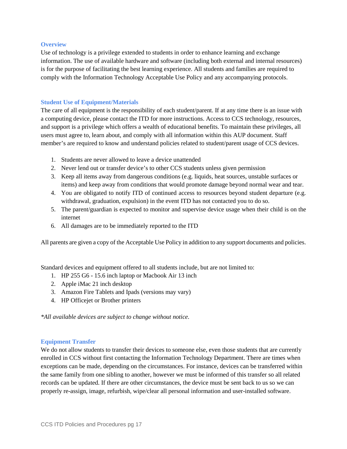#### **Overview**

Use of technology is a privilege extended to students in order to enhance learning and exchange information. The use of available hardware and software (including both external and internal resources) is for the purpose of facilitating the best learning experience. All students and families are required to comply with the Information Technology Acceptable Use Policy and any accompanying protocols.

#### **Student Use of Equipment/Materials**

The care of all equipment is the responsibility of each student/parent. If at any time there is an issue with a computing device, please contact the ITD for more instructions. Access to CCS technology, resources, and support is a privilege which offers a wealth of educational benefits. To maintain these privileges, all users must agree to, learn about, and comply with all information within this AUP document. Staff member's are required to know and understand policies related to student/parent usage of CCS devices.

- 1. Students are never allowed to leave a device unattended
- 2. Never lend out or transfer device's to other CCS students unless given permission
- 3. Keep all items away from dangerous conditions (e.g. liquids, heat sources, unstable surfaces or items) and keep away from conditions that would promote damage beyond normal wear and tear.
- 4. You are obligated to notify ITD of continued access to resources beyond student departure (e.g. withdrawal, graduation, expulsion) in the event ITD has not contacted you to do so.
- 5. The parent/guardian is expected to monitor and supervise device usage when their child is on the internet
- 6. All damages are to be immediately reported to the ITD

All parents are given a copy of the Acceptable Use Policy in addition to any support documents and policies.

Standard devices and equipment offered to all students include, but are not limited to:

- 1. HP 255 G6 15.6 inch laptop or Macbook Air 13 inch
- 2. Apple iMac 21 inch desktop
- 3. Amazon Fire Tablets and Ipads (versions may vary)
- 4. HP Officejet or Brother printers

*\*All available devices are subject to change without notice.*

#### **Equipment Transfer**

We do not allow students to transfer their devices to some one else, even those students that are currently enrolled in CCS without first contacting the Information Technology Department. There are times when exceptions can be made, depending on the circumstances. For instance, devices can be transferred within the same family from one sibling to another, however we must be informed of this transfer so all related records can be updated. If there are other circumstances, the device must be sent back to us so we can properly re-assign, image, refurbish, wipe/clear all personal information and user-installed software.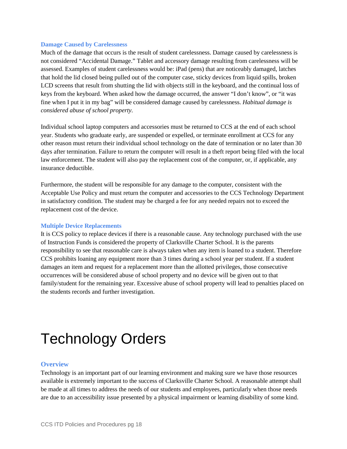#### **Damage Caused by Carelessness**

Much of the damage that occurs is the result of student carelessness. Damage caused by carelessness is not considered "Accidental Damage." Tablet and accessory damage resulting from carelessness will be assessed. Examples of student carelessness would be: iPad (pens) that are noticeably damaged, latches that hold the lid closed being pulled out of the computer case, sticky devices from liquid spills, broken LCD screens that result from shutting the lid with objects still in the keyboard, and the continual loss of keys from the keyboard. When asked how the damage occurred, the answer "I don't know", or "it was fine when I put it in my bag" will be considered damage caused by carelessness. *Habitual damage is considered abuse of school property.*

Individual school laptop computers and accessories must be returned to CCS at the end of each school year. Students who graduate early, are suspended or expelled, or terminate enrollment at CCS for any other reason must return their individual school technology on the date of termination or no later than 30 days after termination. Failure to return the computer will result in a theft report being filed with the local law enforcement. The student will also pay the replacement cost of the computer, or, if applicable, any insurance deductible.

Furthermore, the student will be responsible for any damage to the computer, consistent with the Acceptable Use Policy and must return the computer and accessories to the CCS Technology Department in satisfactory condition. The student may be charged a fee for any needed repairs not to exceed the replacement cost of the device.

#### **Multiple Device Replacements**

It is CCS policy to replace devices if there is a reasonable cause. Any technology purchased with the use of Instruction Funds is considered the property of Clarksville Charter School. It is the parents responsibility to see that reasonable care is always taken when any item is loaned to a student. Therefore CCS prohibits loaning any equipment more than 3 times during a school year per student. If a student damages an item and request for a replacement more than the allotted privileges, those consecutive occurrences will be considered abuse of school property and no device will be given out to that family/student for the remaining year. Excessive abuse of school property will lead to penalties placed on the students records and further investigation.

# Technology Orders

#### **Overview**

Technology is an important part of our learning environment and making sure we have those resources available is extremely important to the success of Clarksville Charter School. A reasonable attempt shall be made at all times to address the needs of our students and employees, particularly when those needs are due to an accessibility issue presented by a physical impairment or learning disability of some kind.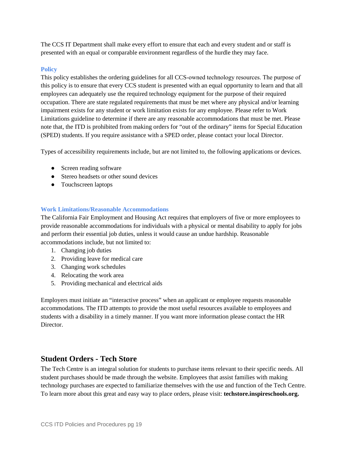The CCS IT Department shall make every effort to ensure that each and every student and or staff is presented with an equal or comparable environment regardless of the hurdle they may face.

#### **Policy**

This policy establishes the ordering guidelines for all CCS-owned technology resources. The purpose of this policy is to ensure that every CCS student is presented with an equal opportunity to learn and that all employees can adequately use the required technology equipment for the purpose of their required occupation. There are state regulated requirements that must be met where any physical and/or learning impairment exists for any student or work limitation exists for any employee. Please refer to Work Limitations guideline to determine if there are any reasonable accommodations that must be met. Please note that, the ITD is prohibited from making orders for "out of the ordinary" items for Special Education (SPED) students. If you require assistance with a SPED order, please contact your local Director.

Types of accessibility requirements include, but are not limited to, the following applications or devices.

- Screen reading software
- Stereo headsets or other sound devices
- Touchscreen laptops

#### **Work Limitations/Reasonable Accommodations**

The California Fair Employment and Housing Act requires that employers of five or more employees to provide reasonable accommodations for individuals with a physical or mental disability to apply for jobs and perform their essential job duties, unless it would cause an undue hardship. Reasonable accommodations include, but not limited to:

- 1. Changing job duties
- 2. Providing leave for medical care
- 3. Changing work schedules
- 4. Relocating the work area
- 5. Providing mechanical and electrical aids

Employers must initiate an "interactive process" when an applicant or employee requests reasonable accommodations. The ITD attempts to provide the most useful resources available to employees and students with a disability in a timely manner. If you want more information please contact the HR Director.

#### **Student Orders - Tech Store**

The Tech Centre is an integral solution for students to purchase items relevant to their specific needs. All student purchases should be made through the website. Employees that assist families with making technology purchases are expected to familiarize themselves with the use and function of the Tech Centre. To learn more about this great and easy way to place orders, please visit: **techstore.inspireschools.org.**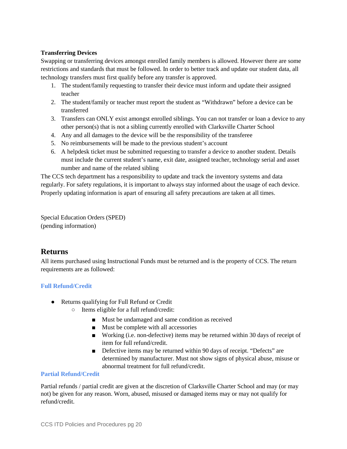#### **Transferring Devices**

Swapping or transferring devices amongst enrolled family members is allowed. However there are some restrictions and standards that must be followed. In order to better track and update our student data, all technology transfers must first qualify before any transfer is approved.

- 1. The student/family requesting to transfer their device must inform and update their assigned teacher
- 2. The student/family or teacher must report the student as "Withdrawn" before a device can be transferred
- 3. Transfers can ONLY exist amongst enrolled siblings. You can not transfer or loan a device to any other person(s) that is not a sibling currently enrolled with Clarksville Charter School
- 4. Any and all damages to the device will be the responsibility of the transferee
- 5. No reimbursements will be made to the previous student's account
- 6. A helpdesk ticket must be submitted requesting to transfer a device to another student. Details must include the current student's name, exit date, assigned teacher, technology serial and asset number and name of the related sibling

The CCS tech department has a responsibility to update and track the inventory systems and data regularly. For safety regulations, it is important to always stay informed about the usage of each device. Properly updating information is apart of ensuring all safety precautions are taken at all times.

Special Education Orders (SPED) (pending information)

## **Returns**

All items purchased using Instructional Funds must be returned and is the property of CCS. The return requirements are as followed:

#### **Full Refund/Credit**

- Returns qualifying for Full Refund or Credit
	- Items eligible for a full refund/credit:
		- Must be undamaged and same condition as received
		- Must be complete with all accessories
		- Working (i.e. non-defective) items may be returned within 30 days of receipt of item for full refund/credit.
		- Defective items may be returned within 90 days of receipt. "Defects" are determined by manufacturer. Must not show signs of physical abuse, misuse or abnormal treatment for full refund/credit.

#### **Partial Refund/Credit**

Partial refunds / partial credit are given at the discretion of Clarksville Charter School and may (or may not) be given for any reason. Worn, abused, misused or damaged items may or may not qualify for refund/credit.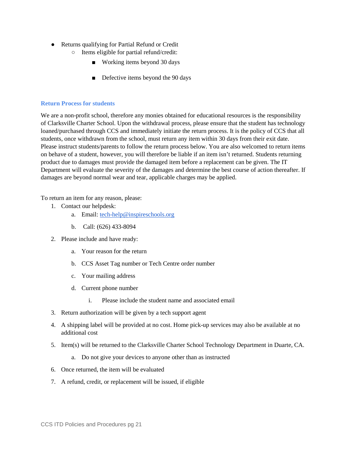- Returns qualifying for Partial Refund or Credit
	- Items eligible for partial refund/credit:
		- Working items beyond 30 days
		- Defective items beyond the 90 days

#### **Return Process for students**

We are a non-profit school, therefore any monies obtained for educational resources is the responsibility of Clarksville Charter School. Upon the withdrawal process, please ensure that the student has technology loaned/purchased through CCS and immediately initiate the return process. It is the policy of CCS that all students, once withdrawn from the school, must return any item within 30 days from their exit date. Please instruct students/parents to follow the return process below. You are also welcomed to return items on behave of a student, however, you will therefore be liable if an item isn't returned. Students returning product due to damages must provide the damaged item before a replacement can be given. The IT Department will evaluate the severity of the damages and determine the best course of action thereafter. If damages are beyond normal wear and tear, applicable charges may be applied.

To return an item for any reason, please:

- 1. Contact our helpdesk:
	- a. Email: [tech-help@inspireschools.org](mailto:tech-help@inspireschools.org)
	- b. Call: (626) 433-8094
- 2. Please include and have ready:
	- a. Your reason for the return
	- b. CCS Asset Tag number or Tech Centre order number
	- c. Your mailing address
	- d. Current phone number
		- i. Please include the student name and associated email
- 3. Return authorization will be given by a tech support agent
- 4. A shipping label will be provided at no cost. Home pick-up services may also be available at no additional cost
- 5. Item(s) will be returned to the Clarksville Charter School Technology Department in Duarte, CA.
	- a. Do not give your devices to anyone other than as instructed
- 6. Once returned, the item will be evaluated
- 7. A refund, credit, or replacement will be issued, if eligible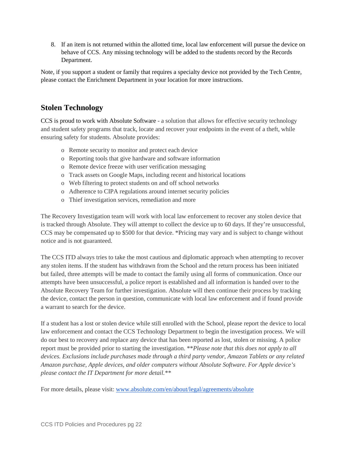8. If an item is not returned within the allotted time, local law enforcement will pursue the device on behave of CCS. Any missing technology will be added to the students record by the Records Department.

Note, if you support a student or family that requires a specialty device not provided by the Tech Centre, please contact the Enrichment Department in your location for more instructions.

# **Stolen Technology**

CCS is proud to work with Absolute Software - a solution that allows for effective security technology and student safety programs that track, locate and recover your endpoints in the event of a theft, while ensuring safety for students. Absolute provides:

- o Remote security to monitor and protect each device
- o Reporting tools that give hardware and software information
- o Remote device freeze with user verification messaging
- o Track assets on Google Maps, including recent and historical locations
- o Web filtering to protect students on and off school networks
- o Adherence to CIPA regulations around internet security policies
- o Thief investigation services, remediation and more

The Recovery Investigation team will work with local law enforcement to recover any stolen device that is tracked through Absolute. They will attempt to collect the device up to 60 days. If they're unsuccessful, CCS may be compensated up to \$500 for that device. \*Pricing may vary and is subject to change without notice and is not guaranteed.

The CCS ITD always tries to take the most cautious and diplomatic approach when attempting to recover any stolen items. If the student has withdrawn from the School and the return process has been initiated but failed, three attempts will be made to contact the family using all forms of communication. Once our attempts have been unsuccessful, a police report is established and all information is handed over to the Absolute Recovery Team for further investigation. Absolute will then continue their process by tracking the device, contact the person in question, communicate with local law enforcement and if found provide a warrant to search for the device.

If a student has a lost or stolen device while still enrolled with the School, please report the device to local law enforcement and contact the CCS Technology Department to begin the investigation process. We will do our best to recovery and replace any device that has been reported as lost, stolen or missing. A police report must be provided prior to starting the investigation. \*\**Please note that this does not apply to all devices. Exclusions include purchases made through a third party vendor, Amazon Tablets or any related Amazon purchase, Apple devices, and older computers without Absolute Software. For Apple device's please contact the IT Department for more detail.\*\**

For more details, please visit: [www.absolute.com/en/about/legal/agreements/absolute](http://www.absolute.com/en/about/legal/agreements/absolute)